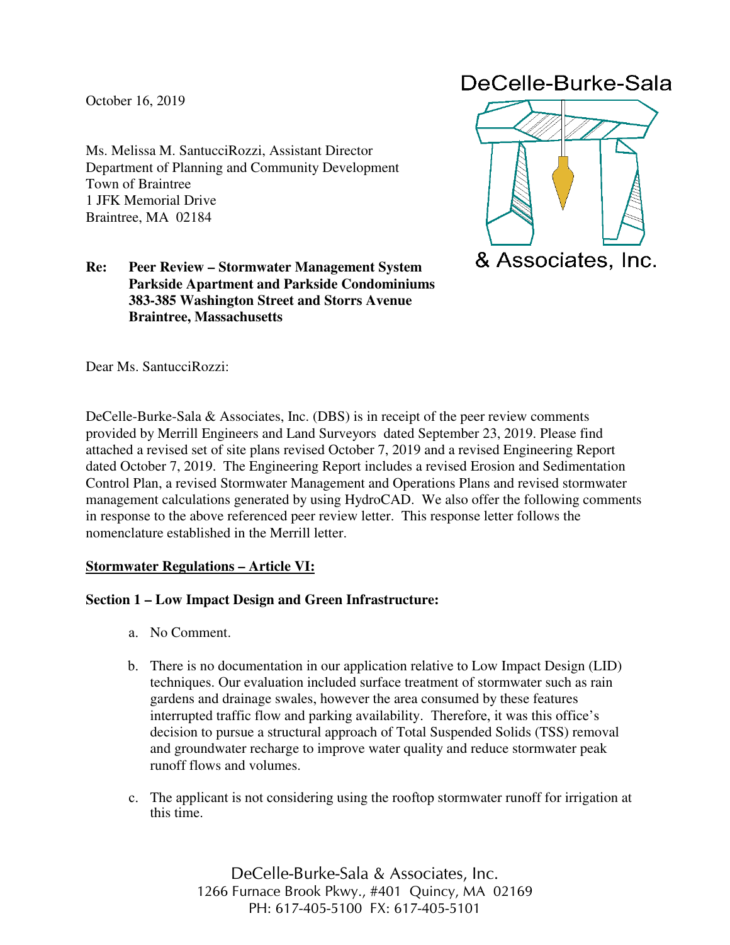October 16, 2019

Ms. Melissa M. SantucciRozzi, Assistant Director Department of Planning and Community Development Town of Braintree 1 JFK Memorial Drive Braintree, MA 02184

## **Re: Peer Review – Stormwater Management System Parkside Apartment and Parkside Condominiums 383-385 Washington Street and Storrs Avenue Braintree, Massachusetts**

# DeCelle-Burke-Sala



Dear Ms. SantucciRozzi:

DeCelle-Burke-Sala & Associates, Inc. (DBS) is in receipt of the peer review comments provided by Merrill Engineers and Land Surveyors dated September 23, 2019. Please find attached a revised set of site plans revised October 7, 2019 and a revised Engineering Report dated October 7, 2019. The Engineering Report includes a revised Erosion and Sedimentation Control Plan, a revised Stormwater Management and Operations Plans and revised stormwater management calculations generated by using HydroCAD. We also offer the following comments in response to the above referenced peer review letter. This response letter follows the nomenclature established in the Merrill letter.

# **Stormwater Regulations – Article VI:**

# **Section 1 – Low Impact Design and Green Infrastructure:**

- a. No Comment.
- b. There is no documentation in our application relative to Low Impact Design (LID) techniques. Our evaluation included surface treatment of stormwater such as rain gardens and drainage swales, however the area consumed by these features interrupted traffic flow and parking availability. Therefore, it was this office's decision to pursue a structural approach of Total Suspended Solids (TSS) removal and groundwater recharge to improve water quality and reduce stormwater peak runoff flows and volumes.
- c. The applicant is not considering using the rooftop stormwater runoff for irrigation at this time.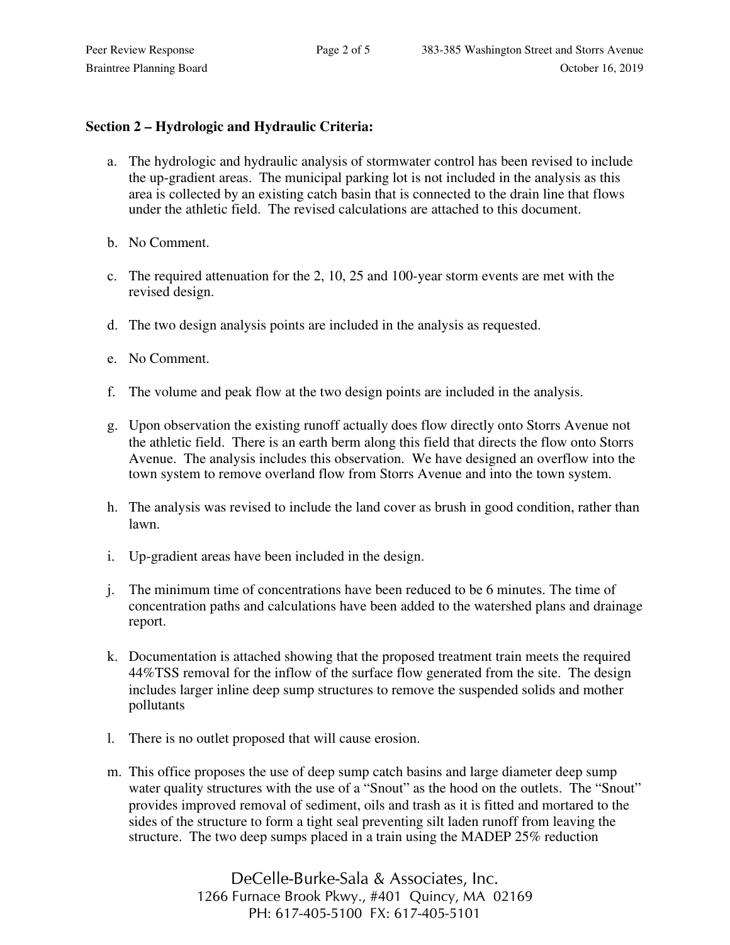## **Section 2 – Hydrologic and Hydraulic Criteria:**

- a. The hydrologic and hydraulic analysis of stormwater control has been revised to include the up-gradient areas. The municipal parking lot is not included in the analysis as this area is collected by an existing catch basin that is connected to the drain line that flows under the athletic field. The revised calculations are attached to this document.
- b. No Comment.
- c. The required attenuation for the 2, 10, 25 and 100-year storm events are met with the revised design.
- d. The two design analysis points are included in the analysis as requested.
- e. No Comment.
- f. The volume and peak flow at the two design points are included in the analysis.
- g. Upon observation the existing runoff actually does flow directly onto Storrs Avenue not the athletic field. There is an earth berm along this field that directs the flow onto Storrs Avenue. The analysis includes this observation. We have designed an overflow into the town system to remove overland flow from Storrs Avenue and into the town system.
- h. The analysis was revised to include the land cover as brush in good condition, rather than lawn.
- i. Up-gradient areas have been included in the design.
- j. The minimum time of concentrations have been reduced to be 6 minutes. The time of concentration paths and calculations have been added to the watershed plans and drainage report.
- k. Documentation is attached showing that the proposed treatment train meets the required 44%TSS removal for the inflow of the surface flow generated from the site. The design includes larger inline deep sump structures to remove the suspended solids and mother pollutants
- l. There is no outlet proposed that will cause erosion.
- m. This office proposes the use of deep sump catch basins and large diameter deep sump water quality structures with the use of a "Snout" as the hood on the outlets. The "Snout" provides improved removal of sediment, oils and trash as it is fitted and mortared to the sides of the structure to form a tight seal preventing silt laden runoff from leaving the structure. The two deep sumps placed in a train using the MADEP 25% reduction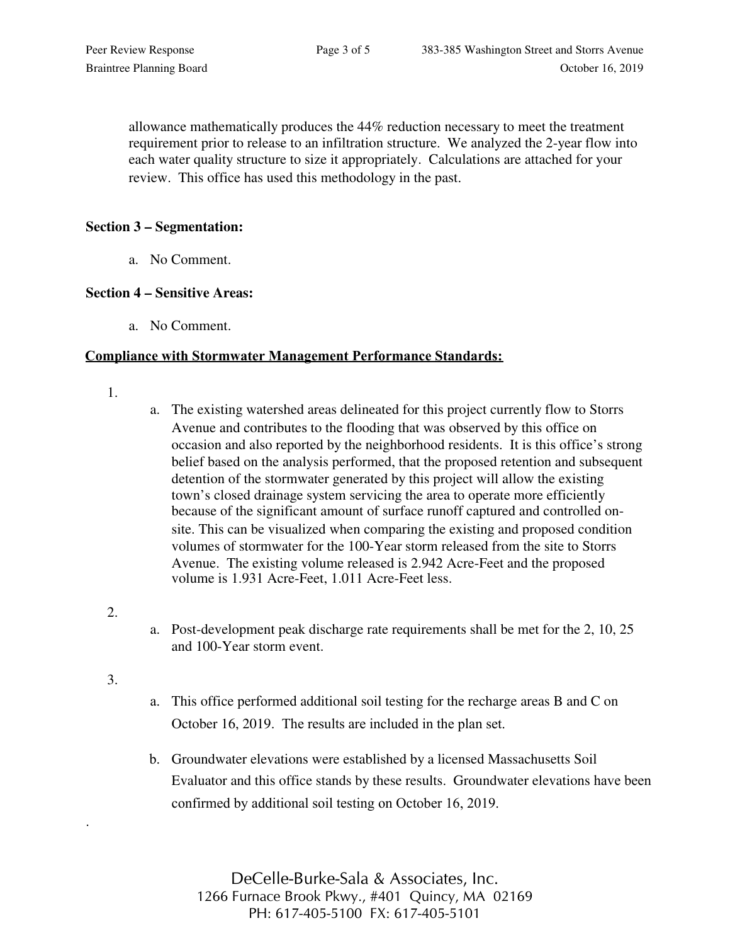allowance mathematically produces the 44% reduction necessary to meet the treatment requirement prior to release to an infiltration structure. We analyzed the 2-year flow into each water quality structure to size it appropriately. Calculations are attached for your review. This office has used this methodology in the past.

### **Section 3 – Segmentation:**

a. No Comment.

### **Section 4 – Sensitive Areas:**

a. No Comment.

#### **Compliance with Stormwater Management Performance Standards:**

- 1.
- a. The existing watershed areas delineated for this project currently flow to Storrs Avenue and contributes to the flooding that was observed by this office on occasion and also reported by the neighborhood residents. It is this office's strong belief based on the analysis performed, that the proposed retention and subsequent detention of the stormwater generated by this project will allow the existing town's closed drainage system servicing the area to operate more efficiently because of the significant amount of surface runoff captured and controlled onsite. This can be visualized when comparing the existing and proposed condition volumes of stormwater for the 100-Year storm released from the site to Storrs Avenue. The existing volume released is 2.942 Acre-Feet and the proposed volume is 1.931 Acre-Feet, 1.011 Acre-Feet less.
- 2.
- a. Post-development peak discharge rate requirements shall be met for the 2, 10, 25 and 100-Year storm event.
- 3.

.

- a. This office performed additional soil testing for the recharge areas B and C on October 16, 2019. The results are included in the plan set.
- b. Groundwater elevations were established by a licensed Massachusetts Soil Evaluator and this office stands by these results. Groundwater elevations have been confirmed by additional soil testing on October 16, 2019.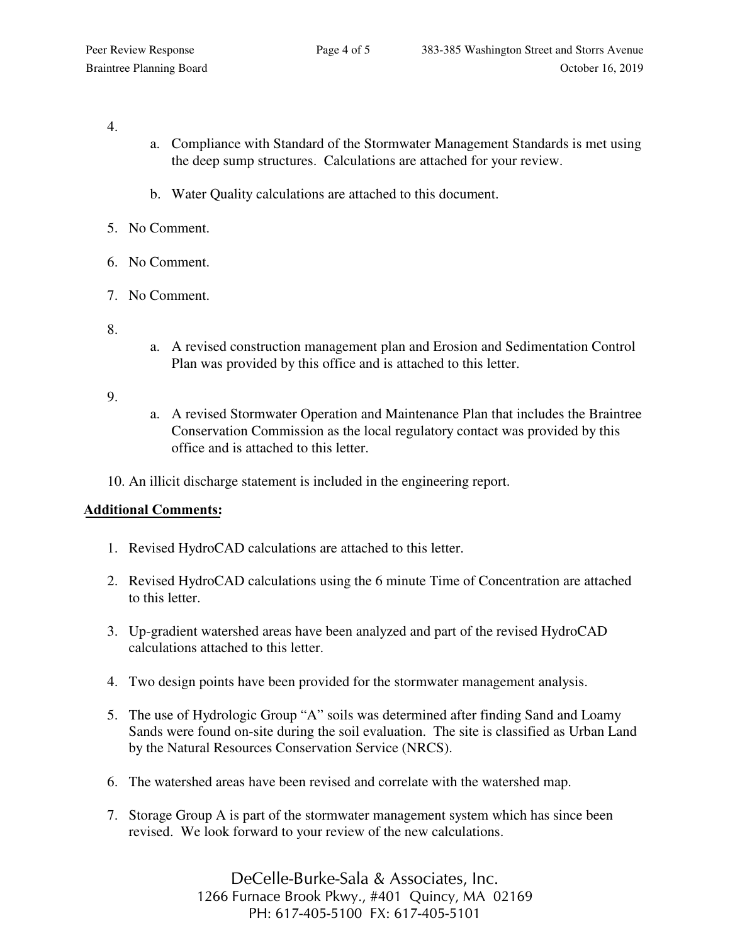#### 4.

- a. Compliance with Standard of the Stormwater Management Standards is met using the deep sump structures. Calculations are attached for your review.
- b. Water Quality calculations are attached to this document.
- 5. No Comment.
- 6. No Comment.
- 7. No Comment.
- 8.
- a. A revised construction management plan and Erosion and Sedimentation Control Plan was provided by this office and is attached to this letter.

9.

- a. A revised Stormwater Operation and Maintenance Plan that includes the Braintree Conservation Commission as the local regulatory contact was provided by this office and is attached to this letter.
- 10. An illicit discharge statement is included in the engineering report.

# **Additional Comments:**

- 1. Revised HydroCAD calculations are attached to this letter.
- 2. Revised HydroCAD calculations using the 6 minute Time of Concentration are attached to this letter.
- 3. Up-gradient watershed areas have been analyzed and part of the revised HydroCAD calculations attached to this letter.
- 4. Two design points have been provided for the stormwater management analysis.
- 5. The use of Hydrologic Group "A" soils was determined after finding Sand and Loamy Sands were found on-site during the soil evaluation. The site is classified as Urban Land by the Natural Resources Conservation Service (NRCS).
- 6. The watershed areas have been revised and correlate with the watershed map.
- 7. Storage Group A is part of the stormwater management system which has since been revised. We look forward to your review of the new calculations.